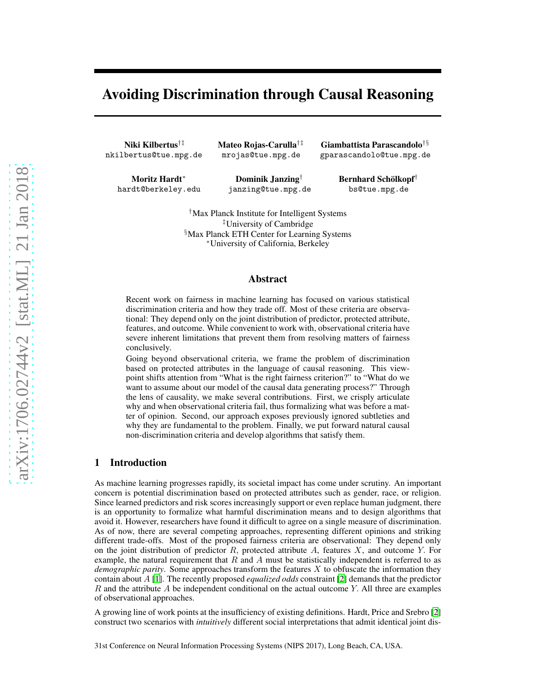# Avoiding Discrimination through Causal Reasoning

Niki Kilbertus†‡ nkilbertus@tue.mpg.de Mateo Rojas-Carulla†‡ mrojas@tue.mpg.de

Moritz Hardt<sup>∗</sup> hardt@berkeley.edu

Dominik Janzing† janzing@tue.mpg.de

Giambattista Parascandolo†§ gparascandolo@tue.mpg.de

> Bernhard Schölkopf<sup>†</sup> bs@tue.mpg.de

†Max Planck Institute for Intelligent Systems ‡University of Cambridge §Max Planck ETH Center for Learning Systems <sup>∗</sup>University of California, Berkeley

## Abstract

Recent work on fairness in machine learning has focused on various statistical discrimination criteria and how they trade off. Most of these criteria are observational: They depend only on the joint distribution of predictor, protected attribute, features, and outcome. While convenient to work with, observational criteria have severe inherent limitations that prevent them from resolving matters of fairness conclusively.

Going beyond observational criteria, we frame the problem of discrimination based on protected attributes in the language of causal reasoning. This viewpoint shifts attention from "What is the right fairness criterion?" to "What do we want to assume about our model of the causal data generating process?" Through the lens of causality, we make several contributions. First, we crisply articulate why and when observational criteria fail, thus formalizing what was before a matter of opinion. Second, our approach exposes previously ignored subtleties and why they are fundamental to the problem. Finally, we put forward natural causal non-discrimination criteria and develop algorithms that satisfy them.

## 1 Introduction

As machine learning progresses rapidly, its societal impact has come under scrutiny. An important concern is potential discrimination based on protected attributes such as gender, race, or religion. Since learned predictors and risk scores increasingly support or even replace human judgment, there is an opportunity to formalize what harmful discrimination means and to design algorithms that avoid it. However, researchers have found it difficult to agree on a single measure of discrimination. As of now, there are several competing approaches, representing different opinions and striking different trade-offs. Most of the proposed fairness criteria are observational: They depend only on the joint distribution of predictor  $R$ , protected attribute  $A$ , features  $X$ , and outcome  $Y$ . For example, the natural requirement that  $R$  and  $A$  must be statistically independent is referred to as *demographic parity*. Some approaches transform the features X to obfuscate the information they contain about A [\[1](#page-9-0)]. The recently proposed *equalized odds* constraint [\[2](#page-9-1)] demands that the predictor  $R$  and the attribute  $\tilde{A}$  be independent conditional on the actual outcome Y. All three are examples of observational approaches.

A growing line of work points at the insufficiency of existing definitions. Hardt, Price and Srebro [\[2\]](#page-9-1) construct two scenarios with *intuitively* different social interpretations that admit identical joint dis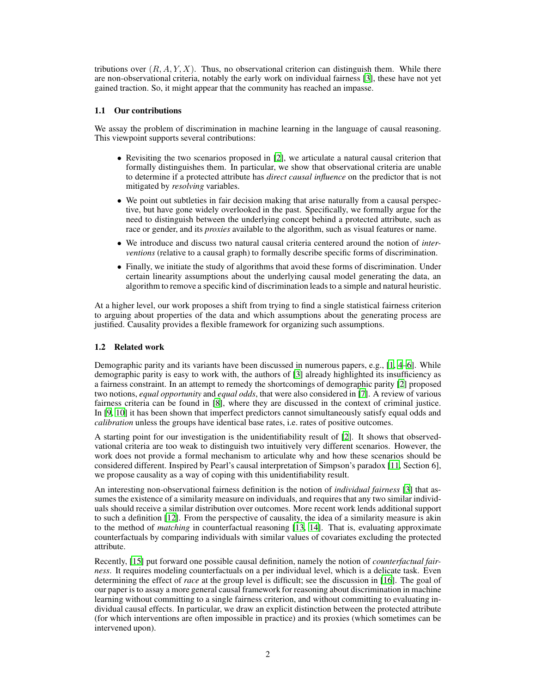tributions over  $(R, A, Y, X)$ . Thus, no observational criterion can distinguish them. While there are non-observational criteria, notably the early work on individual fairness [\[3\]](#page-9-2), these have not yet gained traction. So, it might appear that the community has reached an impasse.

## 1.1 Our contributions

We assay the problem of discrimination in machine learning in the language of causal reasoning. This viewpoint supports several contributions:

- Revisiting the two scenarios proposed in [\[2\]](#page-9-1), we articulate a natural causal criterion that formally distinguishes them. In particular, we show that observational criteria are unable to determine if a protected attribute has *direct causal influence* on the predictor that is not mitigated by *resolving* variables.
- We point out subtleties in fair decision making that arise naturally from a causal perspective, but have gone widely overlooked in the past. Specifically, we formally argue for the need to distinguish between the underlying concept behind a protected attribute, such as race or gender, and its *proxies* available to the algorithm, such as visual features or name.
- We introduce and discuss two natural causal criteria centered around the notion of *interventions* (relative to a causal graph) to formally describe specific forms of discrimination.
- Finally, we initiate the study of algorithms that avoid these forms of discrimination. Under certain linearity assumptions about the underlying causal model generating the data, an algorithm to remove a specific kind of discrimination leads to a simple and natural heuristic.

At a higher level, our work proposes a shift from trying to find a single statistical fairness criterion to arguing about properties of the data and which assumptions about the generating process are justified. Causality provides a flexible framework for organizing such assumptions.

## 1.2 Related work

Demographic parity and its variants have been discussed in numerous papers, e.g., [\[1,](#page-9-0) [4](#page-9-3)[–6](#page-9-4)]. While demographic parity is easy to work with, the authors of [\[3\]](#page-9-2) already highlighted its insufficiency as a fairness constraint. In an attempt to remedy the shortcomings of demographic parity [\[2\]](#page-9-1) proposed two notions, *equal opportunity* and *equal odds*, that were also considered in [\[7](#page-9-5)]. A review of various fairness criteria can be found in [\[8](#page-9-6)], where they are discussed in the context of criminal justice. In [\[9](#page-9-7), [10](#page-9-8)] it has been shown that imperfect predictors cannot simultaneously satisfy equal odds and *calibration* unless the groups have identical base rates, i.e. rates of positive outcomes.

A starting point for our investigation is the unidentifiability result of [\[2](#page-9-1)]. It shows that observedvational criteria are too weak to distinguish two intuitively very different scenarios. However, the work does not provide a formal mechanism to articulate why and how these scenarios should be considered different. Inspired by Pearl's causal interpretation of Simpson's paradox [\[11](#page-9-9), Section 6], we propose causality as a way of coping with this unidentifiability result.

An interesting non-observational fairness definition is the notion of *individual fairness* [\[3](#page-9-2)] that assumes the existence of a similarity measure on individuals, and requires that any two similar individuals should receive a similar distribution over outcomes. More recent work lends additional support to such a definition [\[12\]](#page-9-10). From the perspective of causality, the idea of a similarity measure is akin to the method of *matching* in counterfactual reasoning [\[13](#page-9-11), [14\]](#page-9-12). That is, evaluating approximate counterfactuals by comparing individuals with similar values of covariates excluding the protected attribute.

Recently, [\[15](#page-9-13)] put forward one possible causal definition, namely the notion of *counterfactual fairness*. It requires modeling counterfactuals on a per individual level, which is a delicate task. Even determining the effect of *race* at the group level is difficult; see the discussion in [\[16\]](#page-9-14). The goal of our paper is to assay a more general causal framework for reasoning about discrimination in machine learning without committing to a single fairness criterion, and without committing to evaluating individual causal effects. In particular, we draw an explicit distinction between the protected attribute (for which interventions are often impossible in practice) and its proxies (which sometimes can be intervened upon).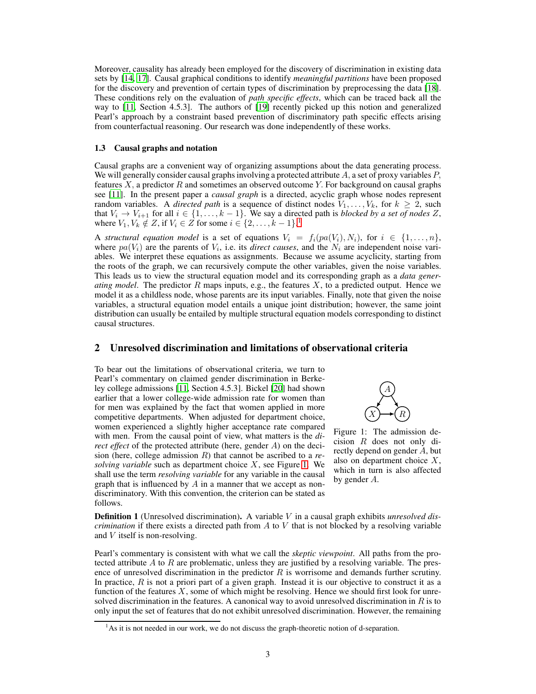Moreover, causality has already been employed for the discovery of discrimination in existing data sets by [\[14,](#page-9-12) [17](#page-9-15)]. Causal graphical conditions to identify *meaningful partitions* have been proposed for the discovery and prevention of certain types of discrimination by preprocessing the data [\[18](#page-9-16)]. These conditions rely on the evaluation of *path specific effects*, which can be traced back all the way to [\[11](#page-9-9), Section 4.5.3]. The authors of [\[19\]](#page-9-17) recently picked up this notion and generalized Pearl's approach by a constraint based prevention of discriminatory path specific effects arising from counterfactual reasoning. Our research was done independently of these works.

## 1.3 Causal graphs and notation

Causal graphs are a convenient way of organizing assumptions about the data generating process. We will generally consider causal graphs involving a protected attribute A, a set of proxy variables  $P$ , features  $X$ , a predictor  $R$  and sometimes an observed outcome  $Y$ . For background on causal graphs see [\[11\]](#page-9-9). In the present paper a *causal graph* is a directed, acyclic graph whose nodes represent random variables. A *directed path* is a sequence of distinct nodes  $V_1, \ldots, V_k$ , for  $k \geq 2$ , such that  $V_i \to V_{i+1}$  for all  $i \in \{1, \ldots, k-1\}$ . We say a directed path is *blocked by a set of nodes* Z, where  $V_1, V_k \notin Z$  $V_1, V_k \notin Z$  $V_1, V_k \notin Z$ , if  $V_i \in Z$  for some  $i \in \{2, \ldots, k-1\}$ .<sup>1</sup>

A *structural equation model* is a set of equations  $V_i = f_i(pa(V_i), N_i)$ , for  $i \in \{1, ..., n\}$ , where  $pa(V_i)$  are the parents of  $V_i$ , i.e. its *direct causes*, and the  $N_i$  are independent noise variables. We interpret these equations as assignments. Because we assume acyclicity, starting from the roots of the graph, we can recursively compute the other variables, given the noise variables. This leads us to view the structural equation model and its corresponding graph as a *data generating model*. The predictor R maps inputs, e.g., the features X, to a predicted output. Hence we model it as a childless node, whose parents are its input variables. Finally, note that given the noise variables, a structural equation model entails a unique joint distribution; however, the same joint distribution can usually be entailed by multiple structural equation models corresponding to distinct causal structures.

## 2 Unresolved discrimination and limitations of observational criteria

To bear out the limitations of observational criteria, we turn to Pearl's commentary on claimed gender discrimination in Berkeley college admissions [\[11](#page-9-9), Section 4.5.3]. Bickel [\[20\]](#page-9-18) had shown earlier that a lower college-wide admission rate for women than for men was explained by the fact that women applied in more competitive departments. When adjusted for department choice, women experienced a slightly higher acceptance rate compared with men. From the causal point of view, what matters is the *direct effect* of the protected attribute (here, gender A) on the decision (here, college admission R) that cannot be ascribed to a *resolving variable* such as department choice X, see Figure [1.](#page-2-1) We shall use the term *resolving variable* for any variable in the causal graph that is influenced by  $A$  in a manner that we accept as nondiscriminatory. With this convention, the criterion can be stated as follows.

<span id="page-2-1"></span>

Figure 1: The admission decision  $R$  does not only directly depend on gender A, but also on department choice  $X$ , which in turn is also affected by gender A.

Definition 1 (Unresolved discrimination). A variable V in a causal graph exhibits *unresolved discrimination* if there exists a directed path from  $A$  to  $V$  that is not blocked by a resolving variable and V itself is non-resolving.

Pearl's commentary is consistent with what we call the *skeptic viewpoint*. All paths from the protected attribute  $A$  to  $R$  are problematic, unless they are justified by a resolving variable. The presence of unresolved discrimination in the predictor  $R$  is worrisome and demands further scrutiny. In practice,  $R$  is not a priori part of a given graph. Instead it is our objective to construct it as a function of the features  $X$ , some of which might be resolving. Hence we should first look for unresolved discrimination in the features. A canonical way to avoid unresolved discrimination in  $R$  is to only input the set of features that do not exhibit unresolved discrimination. However, the remaining

<span id="page-2-0"></span> $<sup>1</sup>$ As it is not needed in our work, we do not discuss the graph-theoretic notion of d-separation.</sup>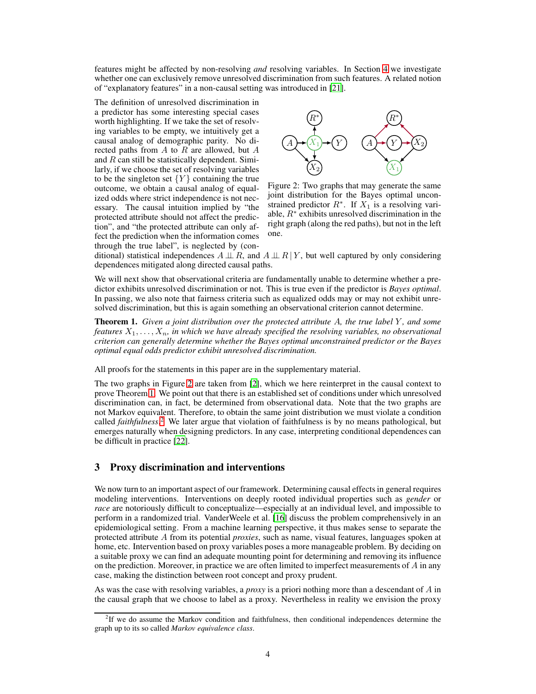features might be affected by non-resolving *and* resolving variables. In Section [4](#page-4-0) we investigate whether one can exclusively remove unresolved discrimination from such features. A related notion of "explanatory features" in a non-causal setting was introduced in [\[21\]](#page-9-19).

The definition of unresolved discrimination in a predictor has some interesting special cases worth highlighting. If we take the set of resolving variables to be empty, we intuitively get a causal analog of demographic parity. No directed paths from  $A$  to  $R$  are allowed, but  $A$ and  $R$  can still be statistically dependent. Similarly, if we choose the set of resolving variables to be the singleton set  ${Y}$  containing the true outcome, we obtain a causal analog of equalized odds where strict independence is not necessary. The causal intuition implied by "the protected attribute should not affect the prediction", and "the protected attribute can only affect the prediction when the information comes through the true label", is neglected by (con-

<span id="page-3-0"></span>

Figure 2: Two graphs that may generate the same joint distribution for the Bayes optimal unconstrained predictor  $R^*$ . If  $X_1$  is a resolving variable,  $R^*$  exhibits unresolved discrimination in the right graph (along the red paths), but not in the left one.

ditional) statistical independences  $A \perp \!\!\!\perp R$ , and  $A \perp \!\!\!\perp R$  well captured by only considering dependences mitigated along directed causal paths.

We will next show that observational criteria are fundamentally unable to determine whether a predictor exhibits unresolved discrimination or not. This is true even if the predictor is *Bayes optimal*. In passing, we also note that fairness criteria such as equalized odds may or may not exhibit unresolved discrimination, but this is again something an observational criterion cannot determine.

<span id="page-3-1"></span>**Theorem 1.** Given a joint distribution over the protected attribute A, the true label Y, and some *features*  $X_1, \ldots, X_n$ , *in which we have already specified the resolving variables, no observational criterion can generally determine whether the Bayes optimal unconstrained predictor or the Bayes optimal equal odds predictor exhibit unresolved discrimination.*

All proofs for the statements in this paper are in the supplementary material.

The two graphs in Figure [2](#page-3-0) are taken from [\[2](#page-9-1)], which we here reinterpret in the causal context to prove Theorem [1.](#page-3-1) We point out that there is an established set of conditions under which unresolved discrimination can, in fact, be determined from observational data. Note that the two graphs are not Markov equivalent. Therefore, to obtain the same joint distribution we must violate a condition called *faithfulness*. [2](#page-3-2) We later argue that violation of faithfulness is by no means pathological, but emerges naturally when designing predictors. In any case, interpreting conditional dependences can be difficult in practice [\[22](#page-10-0)].

## 3 Proxy discrimination and interventions

We now turn to an important aspect of our framework. Determining causal effects in general requires modeling interventions. Interventions on deeply rooted individual properties such as *gender* or *race* are notoriously difficult to conceptualize—especially at an individual level, and impossible to perform in a randomized trial. VanderWeele et al. [\[16\]](#page-9-14) discuss the problem comprehensively in an epidemiological setting. From a machine learning perspective, it thus makes sense to separate the protected attribute A from its potential *proxies*, such as name, visual features, languages spoken at home, etc. Intervention based on proxy variables poses a more manageable problem. By deciding on a suitable proxy we can find an adequate mounting point for determining and removing its influence on the prediction. Moreover, in practice we are often limited to imperfect measurements of  $A$  in any case, making the distinction between root concept and proxy prudent.

As was the case with resolving variables, a *proxy* is a priori nothing more than a descendant of A in the causal graph that we choose to label as a proxy. Nevertheless in reality we envision the proxy

<span id="page-3-2"></span><sup>&</sup>lt;sup>2</sup>If we do assume the Markov condition and faithfulness, then conditional independences determine the graph up to its so called *Markov equivalence class*.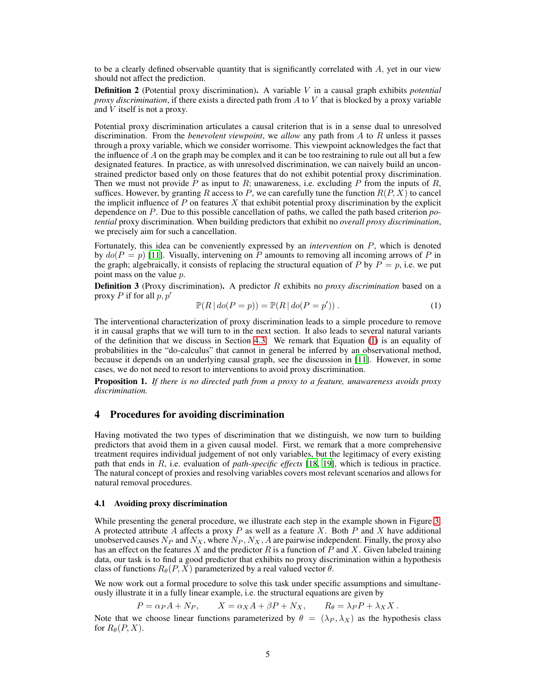to be a clearly defined observable quantity that is significantly correlated with  $A$ , yet in our view should not affect the prediction.

Definition 2 (Potential proxy discrimination). A variable V in a causal graph exhibits *potential proxy discrimination*, if there exists a directed path from A to V that is blocked by a proxy variable and V itself is not a proxy.

Potential proxy discrimination articulates a causal criterion that is in a sense dual to unresolved discrimination. From the *benevolent viewpoint*, we *allow* any path from A to R unless it passes through a proxy variable, which we consider worrisome. This viewpoint acknowledges the fact that the influence of  $\vec{A}$  on the graph may be complex and it can be too restraining to rule out all but a few designated features. In practice, as with unresolved discrimination, we can naively build an unconstrained predictor based only on those features that do not exhibit potential proxy discrimination. Then we must not provide P as input to R; unawareness, i.e. excluding P from the inputs of R, suffices. However, by granting R access to P, we can carefully tune the function  $R(P, X)$  to cancel the implicit influence of  $P$  on features  $X$  that exhibit potential proxy discrimination by the explicit dependence on P. Due to this possible cancellation of paths, we called the path based criterion *potential* proxy discrimination. When building predictors that exhibit no *overall proxy discrimination*, we precisely aim for such a cancellation.

Fortunately, this idea can be conveniently expressed by an *intervention* on P, which is denoted by  $do(P = p)$  [\[11\]](#page-9-9). Visually, intervening on P amounts to removing all incoming arrows of P in the graph; algebraically, it consists of replacing the structural equation of P by  $P = p$ , i.e. we put point mass on the value p.

<span id="page-4-2"></span>Definition 3 (Proxy discrimination). A predictor R exhibits no *proxy discrimination* based on a proxy P if for all  $p, p'$ 

<span id="page-4-1"></span>
$$
\mathbb{P}(R \mid \text{do}(P = p)) = \mathbb{P}(R \mid \text{do}(P = p'))\,. \tag{1}
$$

The interventional characterization of proxy discrimination leads to a simple procedure to remove it in causal graphs that we will turn to in the next section. It also leads to several natural variants of the definition that we discuss in Section [4.3.](#page-6-0) We remark that Equation [\(1\)](#page-4-1) is an equality of probabilities in the "do-calculus" that cannot in general be inferred by an observational method, because it depends on an underlying causal graph, see the discussion in [\[11\]](#page-9-9). However, in some cases, we do not need to resort to interventions to avoid proxy discrimination.

<span id="page-4-3"></span>Proposition 1. *If there is no directed path from a proxy to a feature, unawareness avoids proxy discrimination.*

# <span id="page-4-0"></span>4 Procedures for avoiding discrimination

Having motivated the two types of discrimination that we distinguish, we now turn to building predictors that avoid them in a given causal model. First, we remark that a more comprehensive treatment requires individual judgement of not only variables, but the legitimacy of every existing path that ends in R, i.e. evaluation of *path-specific effects* [\[18,](#page-9-16) [19\]](#page-9-17), which is tedious in practice. The natural concept of proxies and resolving variables covers most relevant scenarios and allows for natural removal procedures.

#### 4.1 Avoiding proxy discrimination

While presenting the general procedure, we illustrate each step in the example shown in Figure [3.](#page-5-0) A protected attribute  $\overline{A}$  affects a proxy  $P$  as well as a feature  $X$ . Both  $P$  and  $X$  have additional unobserved causes  $N_P$  and  $N_X$ , where  $N_P$ ,  $N_X$ , A are pairwise independent. Finally, the proxy also has an effect on the features X and the predictor R is a function of P and X. Given labeled training data, our task is to find a good predictor that exhibits no proxy discrimination within a hypothesis class of functions  $R_{\theta}(P, X)$  parameterized by a real valued vector  $\theta$ .

We now work out a formal procedure to solve this task under specific assumptions and simultaneously illustrate it in a fully linear example, i.e. the structural equations are given by

$$
P = \alpha_P A + N_P, \qquad X = \alpha_X A + \beta P + N_X, \qquad R_{\theta} = \lambda_P P + \lambda_X X.
$$

Note that we choose linear functions parameterized by  $\theta = (\lambda_P, \lambda_X)$  as the hypothesis class for  $R_{\theta}(P, X)$ .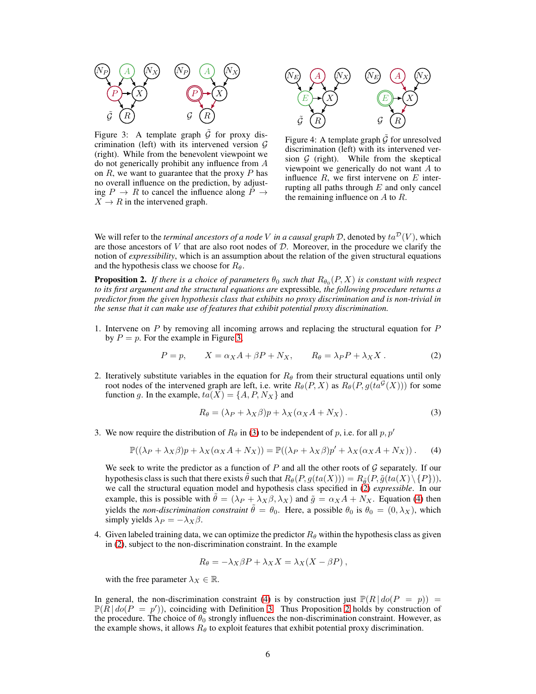<span id="page-5-0"></span>

Figure 3: A template graph  $\hat{G}$  for proxy discrimination (left) with its intervened version  $G$ (right). While from the benevolent viewpoint we do not generically prohibit any influence from A on  $R$ , we want to guarantee that the proxy  $P$  has no overall influence on the prediction, by adjusting  $P \rightarrow R$  to cancel the influence along  $P \rightarrow$  $X \rightarrow R$  in the intervened graph.



Figure 4: A template graph  $\tilde{\mathcal{G}}$  for unresolved discrimination (left) with its intervened version  $G$  (right). While from the skeptical viewpoint we generically do not want A to influence  $R$ , we first intervene on  $E$  interrupting all paths through  $E$  and only cancel the remaining influence on  $A$  to  $R$ .

We will refer to the *terminal ancestors of a node* V *in a causal graph*  $D$ , denoted by  $ta^D(V)$ , which are those ancestors of  $V$  that are also root nodes of  $D$ . Moreover, in the procedure we clarify the notion of *expressibility*, which is an assumption about the relation of the given structural equations and the hypothesis class we choose for  $R_{\theta}$ .

<span id="page-5-4"></span>**Proposition 2.** If there is a choice of parameters  $\theta_0$  such that  $R_{\theta_0}(P,X)$  is constant with respect *to its first argument and the structural equations are* expressible*, the following procedure returns a predictor from the given hypothesis class that exhibits no proxy discrimination and is non-trivial in the sense that it can make use of features that exhibit potential proxy discrimination.*

1. Intervene on P by removing all incoming arrows and replacing the structural equation for P by  $P = p$ . For the example in Figure [3,](#page-5-0)

<span id="page-5-2"></span>
$$
P = p, \t X = \alpha_X A + \beta P + N_X, \t R_{\theta} = \lambda_P P + \lambda_X X. \t (2)
$$

2. Iteratively substitute variables in the equation for  $R_{\theta}$  from their structural equations until only root nodes of the intervened graph are left, i.e. write  $R_{\theta}(P, X)$  as  $R_{\theta}(P, g(t a^{\mathcal{G}}(X)))$  for some function g. In the example,  $ta(X) = \{A, P, N_X\}$  and

<span id="page-5-1"></span>
$$
R_{\theta} = (\lambda_P + \lambda_X \beta)p + \lambda_X(\alpha_X A + N_X).
$$
 (3)

3. We now require the distribution of  $R_\theta$  in [\(3\)](#page-5-1) to be independent of p, i.e. for all p, p'

<span id="page-5-3"></span>
$$
\mathbb{P}((\lambda_P + \lambda_X \beta)p + \lambda_X(\alpha_X A + N_X)) = \mathbb{P}((\lambda_P + \lambda_X \beta)p' + \lambda_X(\alpha_X A + N_X)).
$$
 (4)

We seek to write the predictor as a function of  $P$  and all the other roots of  $\mathcal G$  separately. If our hypothesis class is such that there exists  $\tilde{\theta}$  such that  $R_{\theta}(P, g(ta(X))) = R_{\tilde{\theta}}(P, \tilde{g}(ta(X) \setminus \{P\})),$ we call the structural equation model and hypothesis class specified in [\(2\)](#page-5-2) *expressible*. In our example, this is possible with  $\hat{\theta} = (\lambda_P + \lambda_X \beta, \lambda_X)$  and  $\tilde{g} = \alpha_X A + N_X$ . Equation [\(4\)](#page-5-3) then yields the *non-discrimination constraint*  $\tilde{\theta} = \theta_0$ . Here, a possible  $\theta_0$  is  $\theta_0 = (0, \lambda_X)$ , which simply yields  $\lambda_P = -\lambda_X \beta$ .

4. Given labeled training data, we can optimize the predictor  $R_{\theta}$  within the hypothesis class as given in [\(2\)](#page-5-2), subject to the non-discrimination constraint. In the example

$$
R_{\theta} = -\lambda_X \beta P + \lambda_X X = \lambda_X (X - \beta P) ,
$$

with the free parameter  $\lambda_X \in \mathbb{R}$ .

In general, the non-discrimination constraint [\(4\)](#page-5-3) is by construction just  $\mathbb{P}(R \mid do(P = p))$  $\mathbb{P}(\tilde{R} \mid do(P = p'))$ , coinciding with Definition [3.](#page-4-2) Thus Proposition [2](#page-5-4) holds by construction of the procedure. The choice of  $\theta_0$  strongly influences the non-discrimination constraint. However, as the example shows, it allows  $R_{\theta}$  to exploit features that exhibit potential proxy discrimination.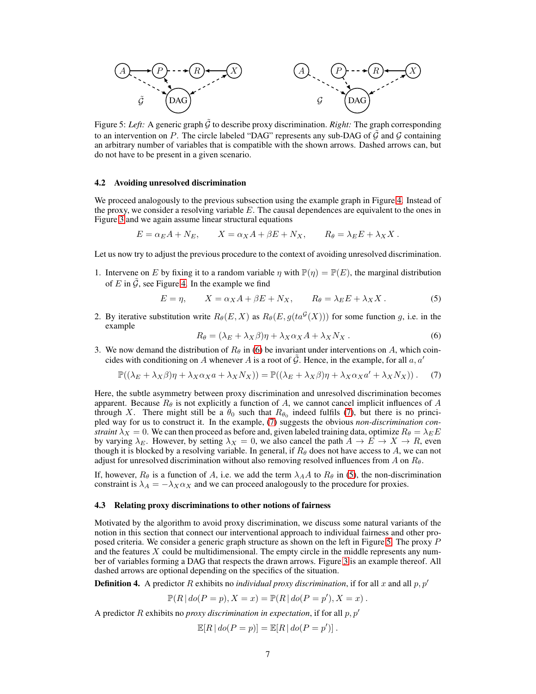<span id="page-6-4"></span>

Figure 5: Left: A generic graph  $\tilde{G}$  to describe proxy discrimination. *Right:* The graph corresponding to an intervention on P. The circle labeled "DAG" represents any sub-DAG of  $\hat{G}$  and  $\hat{G}$  containing an arbitrary number of variables that is compatible with the shown arrows. Dashed arrows can, but do not have to be present in a given scenario.

#### 4.2 Avoiding unresolved discrimination

We proceed analogously to the previous subsection using the example graph in Figure [4.](#page-5-0) Instead of the proxy, we consider a resolving variable  $E$ . The causal dependences are equivalent to the ones in Figure [3](#page-5-0) and we again assume linear structural equations

$$
E = \alpha_E A + N_E, \qquad X = \alpha_X A + \beta E + N_X, \qquad R_{\theta} = \lambda_E E + \lambda_X X.
$$

Let us now try to adjust the previous procedure to the context of avoiding unresolved discrimination.

1. Intervene on E by fixing it to a random variable  $\eta$  with  $\mathbb{P}(\eta) = \mathbb{P}(E)$ , the marginal distribution of E in  $\tilde{G}$ , see Figure [4.](#page-5-0) In the example we find

$$
E = \eta, \qquad X = \alpha_X A + \beta E + N_X, \qquad R_{\theta} = \lambda_E E + \lambda_X X. \tag{5}
$$

2. By iterative substitution write  $R_{\theta}(E, X)$  as  $R_{\theta}(E, g(t a^{\mathcal{G}}(X)))$  for some function g, i.e. in the example

<span id="page-6-3"></span><span id="page-6-1"></span>
$$
R_{\theta} = (\lambda_E + \lambda_X \beta)\eta + \lambda_X \alpha_X A + \lambda_X N_X.
$$
 (6)

3. We now demand the distribution of  $R_\theta$  in [\(6\)](#page-6-1) be invariant under interventions on A, which coincides with conditioning on A whenever A is a root of  $\hat{G}$ . Hence, in the example, for all a, a'

<span id="page-6-2"></span>
$$
\mathbb{P}((\lambda_E + \lambda_X \beta)\eta + \lambda_X \alpha_X a + \lambda_X N_X)) = \mathbb{P}((\lambda_E + \lambda_X \beta)\eta + \lambda_X \alpha_X a' + \lambda_X N_X)).
$$
 (7)

Here, the subtle asymmetry between proxy discrimination and unresolved discrimination becomes apparent. Because  $R_{\theta}$  is not explicitly a function of A, we cannot cancel implicit influences of A through X. There might still be a  $\theta_0$  such that  $R_{\theta_0}$  indeed fulfils [\(7\)](#page-6-2), but there is no principled way for us to construct it. In the example, [\(7\)](#page-6-2) suggests the obvious *non-discrimination constraint*  $\lambda_X = 0$ . We can then proceed as before and, given labeled training data, optimize  $R_\theta = \lambda_E E$ by varying  $\lambda_E$ . However, by setting  $\lambda_X = 0$ , we also cancel the path  $A \to E \to X \to R$ , even though it is blocked by a resolving variable. In general, if  $R_\theta$  does not have access to A, we can not adjust for unresolved discrimination without also removing resolved influences from A on  $R_{\theta}$ .

If, however,  $R_{\theta}$  is a function of A, i.e. we add the term  $\lambda_A A$  to  $R_{\theta}$  in [\(5\)](#page-6-3), the non-discrimination constraint is  $\lambda_A = -\lambda_X \alpha_X$  and we can proceed analogously to the procedure for proxies.

#### <span id="page-6-0"></span>4.3 Relating proxy discriminations to other notions of fairness

Motivated by the algorithm to avoid proxy discrimination, we discuss some natural variants of the notion in this section that connect our interventional approach to individual fairness and other proposed criteria. We consider a generic graph structure as shown on the left in Figure [5.](#page-6-4) The proxy P and the features  $X$  could be multidimensional. The empty circle in the middle represents any number of variables forming a DAG that respects the drawn arrows. Figure [3](#page-5-0) is an example thereof. All dashed arrows are optional depending on the specifics of the situation.

<span id="page-6-5"></span>**Definition 4.** A predictor R exhibits no *individual proxy discrimination*, if for all x and all  $p, p'$ 

$$
\mathbb{P}(R | do(P = p), X = x) = \mathbb{P}(R | do(P = p'), X = x).
$$

A predictor R exhibits no *proxy discrimination in expectation*, if for all  $p, p'$ 

$$
\mathbb{E}[R \mid do(P = p)] = \mathbb{E}[R \mid do(P = p')] .
$$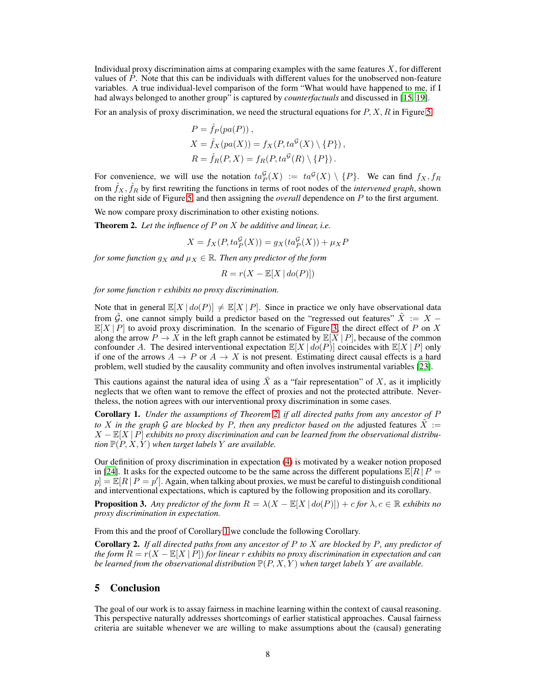Individual proxy discrimination aims at comparing examples with the same features  $X$ , for different values of  $P$ . Note that this can be individuals with different values for the unobserved non-feature variables. A true individual-level comparison of the form "What would have happened to me, if I had always belonged to another group" is captured by *counterfactuals* and discussed in [\[15,](#page-9-13) [19\]](#page-9-17).

For an analysis of proxy discrimination, we need the structural equations for  $P, X, R$  in Figure [5](#page-6-4)

$$
P = \hat{f}_P(pa(P)),
$$
  
\n
$$
X = \hat{f}_X(pa(X)) = f_X(P, ta^{\mathcal{G}}(X) \setminus \{P\}),
$$
  
\n
$$
R = \hat{f}_R(P, X) = f_R(P, ta^{\mathcal{G}}(R) \setminus \{P\}).
$$

For convenience, we will use the notation  $ta_P^{\mathcal{G}}(X) := ta^{\mathcal{G}}(X) \setminus \{P\}$ . We can find  $f_X, f_R$ from  $\hat{f}_X$ ,  $\hat{f}_R$  by first rewriting the functions in terms of root nodes of the *intervened graph*, shown on the right side of Figure [5,](#page-6-4) and then assigning the *overall* dependence on P to the first argument.

We now compare proxy discrimination to other existing notions.

<span id="page-7-0"></span>Theorem 2. *Let the influence of* P *on* X *be additive and linear, i.e.*

$$
X = f_X(P, ta_P^{\mathcal{G}}(X)) = g_X(ta_P^{\mathcal{G}}(X)) + \mu_X P
$$

*for some function*  $g_X$  *and*  $\mu_X \in \mathbb{R}$ *. Then any predictor of the form* 

$$
R = r(X - \mathbb{E}[X \mid do(P)])
$$

*for some function* r *exhibits no proxy discrimination.*

Note that in general  $\mathbb{E}[X \mid do(P)] \neq \mathbb{E}[X \mid P]$ . Since in practice we only have observational data from  $\tilde{G}$ , one cannot simply build a predictor based on the "regressed out features"  $\tilde{X} := X \mathbb{E}[X | P]$  to avoid proxy discrimination. In the scenario of Figure [3,](#page-5-0) the direct effect of P on X along the arrow  $P \to X$  in the left graph cannot be estimated by  $\mathbb{E}[X | P]$ , because of the common confounder A. The desired interventional expectation  $\mathbb{E}[X \mid do(P)]$  coincides with  $\mathbb{E}[X \mid P]$  only if one of the arrows  $A \to P$  or  $A \to X$  is not present. Estimating direct causal effects is a hard problem, well studied by the causality community and often involves instrumental variables [\[23](#page-10-1)].

This cautions against the natural idea of using  $\ddot{X}$  as a "fair representation" of X, as it implicitly neglects that we often want to remove the effect of proxies and not the protected attribute. Nevertheless, the notion agrees with our interventional proxy discrimination in some cases.

<span id="page-7-1"></span>Corollary 1. *Under the assumptions of Theorem [2,](#page-7-0) if all directed paths from any ancestor of* P *to* X in the graph G are blocked by P, then any predictor based on the adjusted features  $\tilde{X}$  := X − E[X | P] *exhibits no proxy discrimination and can be learned from the observational distribution*  $\mathbb{P}(P, X, Y)$  *when target labels* Y *are available.* 

Our definition of proxy discrimination in expectation [\(4\)](#page-6-5) is motivated by a weaker notion proposed in [\[24\]](#page-10-2). It asks for the expected outcome to be the same across the different populations  $\mathbb{E}[R | P =$  $p = \mathbb{E}[R \mid P = p']$ . Again, when talking about proxies, we must be careful to distinguish conditional and interventional expectations, which is captured by the following proposition and its corollary.

<span id="page-7-2"></span>**Proposition 3.** Any predictor of the form  $R = \lambda(X - \mathbb{E}[X \mid do(P)]) + c$  for  $\lambda, c \in \mathbb{R}$  exhibits no *proxy discrimination in expectation.*

From this and the proof of Corollary [1](#page-7-1) we conclude the following Corollary.

Corollary 2. *If all directed paths from any ancestor of* P *to* X *are blocked by* P*, any predictor of the form* R = r(X − E[X | P]) *for linear* r *exhibits no proxy discrimination in expectation and can be learned from the observational distribution*  $\mathbb{P}(P, X, Y)$  *when target labels* Y *are available.* 

## 5 Conclusion

The goal of our work is to assay fairness in machine learning within the context of causal reasoning. This perspective naturally addresses shortcomings of earlier statistical approaches. Causal fairness criteria are suitable whenever we are willing to make assumptions about the (causal) generating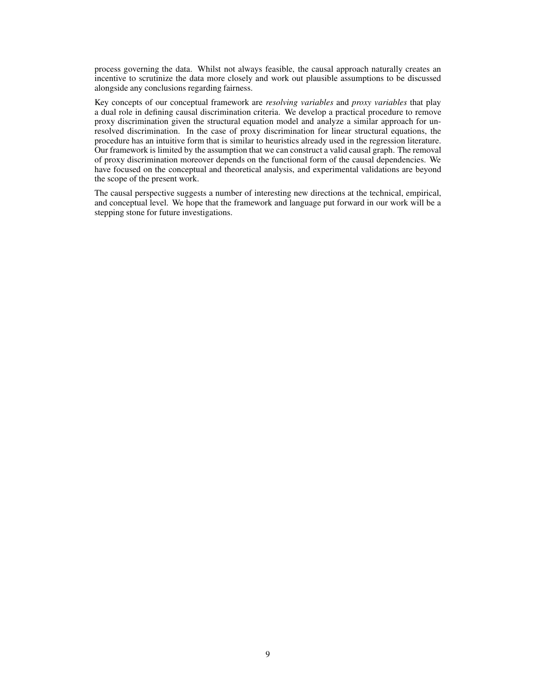process governing the data. Whilst not always feasible, the causal approach naturally creates an incentive to scrutinize the data more closely and work out plausible assumptions to be discussed alongside any conclusions regarding fairness.

Key concepts of our conceptual framework are *resolving variables* and *proxy variables* that play a dual role in defining causal discrimination criteria. We develop a practical procedure to remove proxy discrimination given the structural equation model and analyze a similar approach for unresolved discrimination. In the case of proxy discrimination for linear structural equations, the procedure has an intuitive form that is similar to heuristics already used in the regression literature. Our framework is limited by the assumption that we can construct a valid causal graph. The removal of proxy discrimination moreover depends on the functional form of the causal dependencies. We have focused on the conceptual and theoretical analysis, and experimental validations are beyond the scope of the present work.

The causal perspective suggests a number of interesting new directions at the technical, empirical, and conceptual level. We hope that the framework and language put forward in our work will be a stepping stone for future investigations.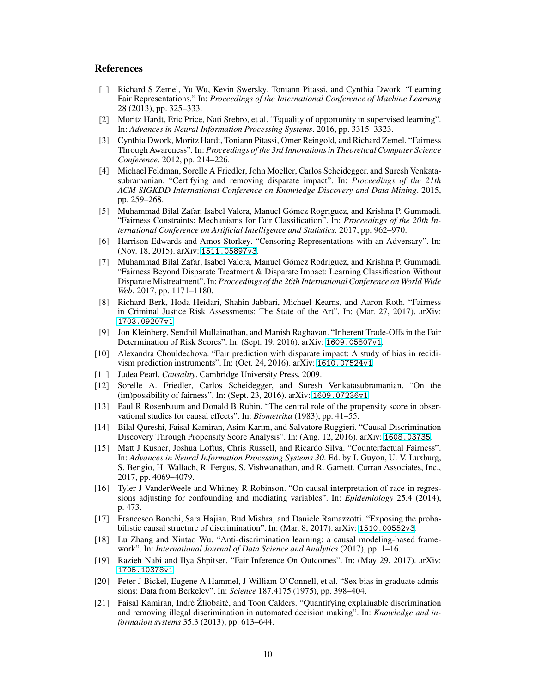## <span id="page-9-0"></span>References

- [1] Richard S Zemel, Yu Wu, Kevin Swersky, Toniann Pitassi, and Cynthia Dwork. "Learning Fair Representations." In: *Proceedings of the International Conference of Machine Learning* 28 (2013), pp. 325–333.
- <span id="page-9-1"></span>[2] Moritz Hardt, Eric Price, Nati Srebro, et al. "Equality of opportunity in supervised learning". In: *Advances in Neural Information Processing Systems*. 2016, pp. 3315–3323.
- <span id="page-9-2"></span>[3] Cynthia Dwork, Moritz Hardt, Toniann Pitassi, Omer Reingold, and Richard Zemel. "Fairness Through Awareness". In: *Proceedings of the 3rd Innovations in Theoretical Computer Science Conference*. 2012, pp. 214–226.
- <span id="page-9-3"></span>[4] Michael Feldman, Sorelle A Friedler, John Moeller, Carlos Scheidegger, and Suresh Venkatasubramanian. "Certifying and removing disparate impact". In: *Proceedings of the 21th ACM SIGKDD International Conference on Knowledge Discovery and Data Mining*. 2015, pp. 259–268.
- [5] Muhammad Bilal Zafar, Isabel Valera, Manuel Gómez Rogriguez, and Krishna P. Gummadi. "Fairness Constraints: Mechanisms for Fair Classification". In: *Proceedings of the 20th International Conference on Artificial Intelligence and Statistics*. 2017, pp. 962–970.
- <span id="page-9-4"></span>[6] Harrison Edwards and Amos Storkey. "Censoring Representations with an Adversary". In: (Nov. 18, 2015). arXiv: [1511.05897v3](http://arxiv.org/abs/1511.05897v3).
- <span id="page-9-5"></span>[7] Muhammad Bilal Zafar, Isabel Valera, Manuel Gómez Rodriguez, and Krishna P. Gummadi. "Fairness Beyond Disparate Treatment & Disparate Impact: Learning Classification Without Disparate Mistreatment". In: *Proceedings of the 26th International Conference on World Wide Web*. 2017, pp. 1171–1180.
- <span id="page-9-6"></span>[8] Richard Berk, Hoda Heidari, Shahin Jabbari, Michael Kearns, and Aaron Roth. "Fairness in Criminal Justice Risk Assessments: The State of the Art". In: (Mar. 27, 2017). arXiv: [1703.09207v1](http://arxiv.org/abs/1703.09207v1).
- <span id="page-9-7"></span>[9] Jon Kleinberg, Sendhil Mullainathan, and Manish Raghavan. "Inherent Trade-Offs in the Fair Determination of Risk Scores". In: (Sept. 19, 2016). arXiv: [1609.05807v1](http://arxiv.org/abs/1609.05807v1).
- <span id="page-9-8"></span>[10] Alexandra Chouldechova. "Fair prediction with disparate impact: A study of bias in recidivism prediction instruments". In: (Oct. 24, 2016). arXiv: [1610.07524v1](http://arxiv.org/abs/1610.07524v1).
- <span id="page-9-10"></span><span id="page-9-9"></span>[11] Judea Pearl. *Causality*. Cambridge University Press, 2009.
- [12] Sorelle A. Friedler, Carlos Scheidegger, and Suresh Venkatasubramanian. "On the (im)possibility of fairness". In: (Sept. 23, 2016). arXiv: [1609.07236v1](http://arxiv.org/abs/1609.07236v1).
- <span id="page-9-11"></span>[13] Paul R Rosenbaum and Donald B Rubin. "The central role of the propensity score in observational studies for causal effects". In: *Biometrika* (1983), pp. 41–55.
- <span id="page-9-12"></span>[14] Bilal Qureshi, Faisal Kamiran, Asim Karim, and Salvatore Ruggieri. "Causal Discrimination Discovery Through Propensity Score Analysis". In: (Aug. 12, 2016). arXiv: [1608.03735](http://arxiv.org/abs/1608.03735).
- <span id="page-9-13"></span>[15] Matt J Kusner, Joshua Loftus, Chris Russell, and Ricardo Silva. "Counterfactual Fairness". In: *Advances in Neural Information Processing Systems 30*. Ed. by I. Guyon, U. V. Luxburg, S. Bengio, H. Wallach, R. Fergus, S. Vishwanathan, and R. Garnett. Curran Associates, Inc., 2017, pp. 4069–4079.
- <span id="page-9-14"></span>[16] Tyler J VanderWeele and Whitney R Robinson. "On causal interpretation of race in regressions adjusting for confounding and mediating variables". In: *Epidemiology* 25.4 (2014), p. 473.
- <span id="page-9-15"></span>[17] Francesco Bonchi, Sara Hajian, Bud Mishra, and Daniele Ramazzotti. "Exposing the probabilistic causal structure of discrimination". In: (Mar. 8, 2017). arXiv: [1510.00552v3](http://arxiv.org/abs/1510.00552v3).
- <span id="page-9-16"></span>[18] Lu Zhang and Xintao Wu. "Anti-discrimination learning: a causal modeling-based framework". In: *International Journal of Data Science and Analytics* (2017), pp. 1–16.
- <span id="page-9-17"></span>[19] Razieh Nabi and Ilya Shpitser. "Fair Inference On Outcomes". In: (May 29, 2017). arXiv: [1705.10378v1](http://arxiv.org/abs/1705.10378v1).
- <span id="page-9-18"></span>[20] Peter J Bickel, Eugene A Hammel, J William O'Connell, et al. "Sex bias in graduate admissions: Data from Berkeley". In: *Science* 187.4175 (1975), pp. 398–404.
- <span id="page-9-19"></span>[21] Faisal Kamiran, Indrė Žliobaitė, and Toon Calders. "Quantifying explainable discrimination and removing illegal discrimination in automated decision making". In: *Knowledge and information systems* 35.3 (2013), pp. 613–644.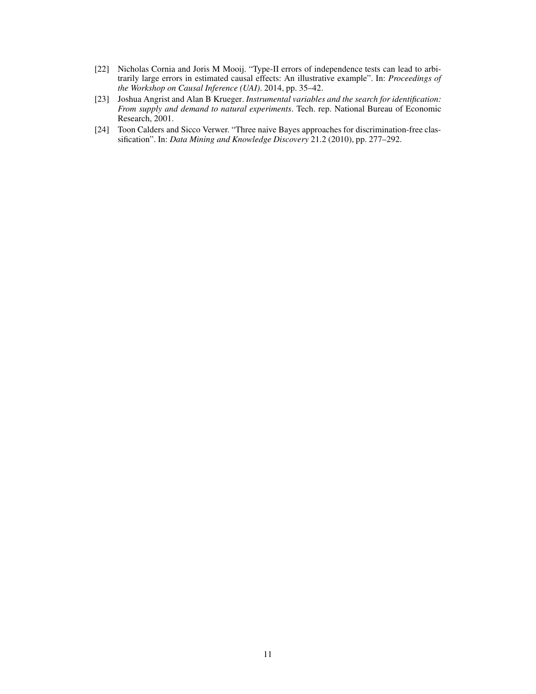- <span id="page-10-0"></span>[22] Nicholas Cornia and Joris M Mooij. "Type-II errors of independence tests can lead to arbitrarily large errors in estimated causal effects: An illustrative example". In: *Proceedings of the Workshop on Causal Inference (UAI)*. 2014, pp. 35–42.
- <span id="page-10-1"></span>[23] Joshua Angrist and Alan B Krueger. *Instrumental variables and the search for identification: From supply and demand to natural experiments*. Tech. rep. National Bureau of Economic Research, 2001.
- <span id="page-10-2"></span>[24] Toon Calders and Sicco Verwer. "Three naive Bayes approaches for discrimination-free classification". In: *Data Mining and Knowledge Discovery* 21.2 (2010), pp. 277–292.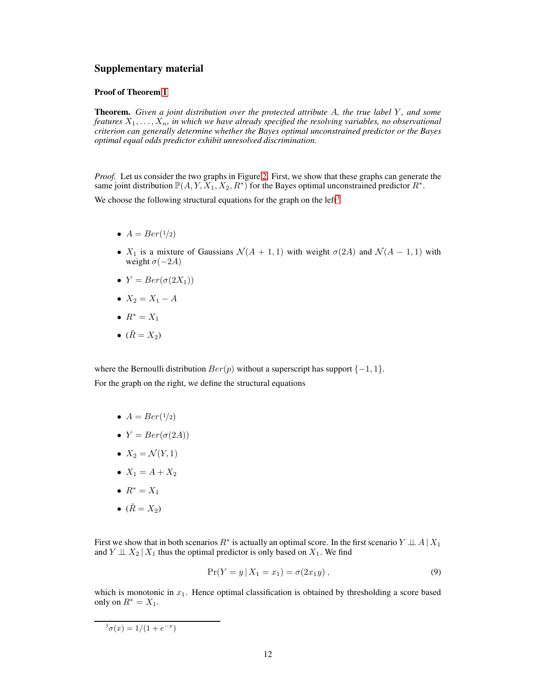## Supplementary material

## Proof of Theorem [1](#page-3-1)

**Theorem.** Given a joint distribution over the protected attribute A, the true label Y, and some *features*  $X_1, \ldots, X_n$ , *in which we have already specified the resolving variables, no observational criterion can generally determine whether the Bayes optimal unconstrained predictor or the Bayes optimal equal odds predictor exhibit unresolved discrimination.*

*Proof.* Let us consider the two graphs in Figure [2.](#page-3-0) First, we show that these graphs can generate the same joint distribution  $\mathbb{P}(A, Y, X_1, X_2, R^*)$  for the Bayes optimal unconstrained predictor  $R^*$ .

We choose the following structural equations for the graph on the left<sup>[3](#page-11-0)</sup>

- $A = Ber(1/2)$
- $X_1$  is a mixture of Gaussians  $\mathcal{N}(A + 1, 1)$  with weight  $\sigma(2A)$  and  $\mathcal{N}(A 1, 1)$  with weight  $\sigma(-2A)$
- $Y = Ber(\sigma(2X_1))$
- $X_2 = X_1 A$
- $R^* = X_1$
- $(\tilde{R} = X_2)$

where the Bernoulli distribution  $Ber(p)$  without a superscript has support  $\{-1, 1\}$ . For the graph on the right, we define the structural equations

- $A = Ber(1/2)$
- $Y = Ber(\sigma(2A))$
- $X_2 = \mathcal{N}(Y, 1)$
- $X_1 = A + X_2$
- $R^* = X_1$
- $(\tilde{R} = X_2)$

First we show that in both scenarios  $R^*$  is actually an optimal score. In the first scenario  $Y \perp \!\!\! \perp A \mid X_1$ and  $Y \perp \!\!\! \perp X_2 \mid X_1$  thus the optimal predictor is only based on  $X_1$ . We find

<span id="page-11-1"></span>
$$
Pr(Y = y | X_1 = x_1) = \sigma(2x_1y), \qquad (9)
$$

which is monotonic in  $x_1$ . Hence optimal classification is obtained by thresholding a score based only on  $R^* = X_1$ .

<span id="page-11-0"></span> $^{3} \sigma(x) = 1/(1+e^{-x})$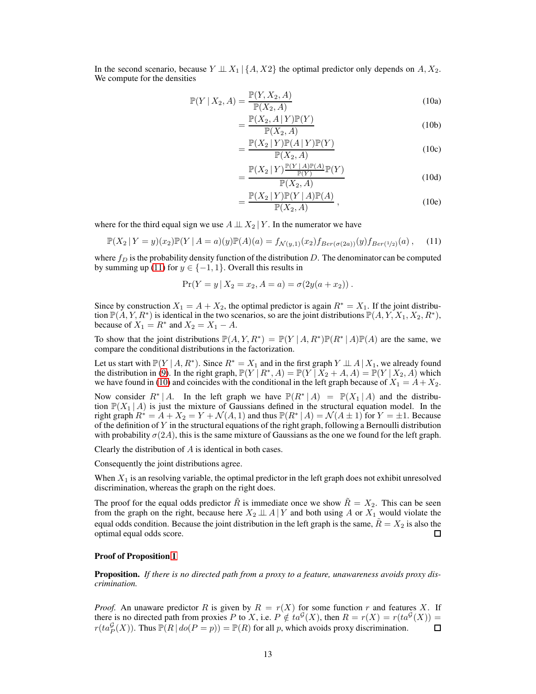In the second scenario, because  $Y \perp \perp X_1 | \{A, X_2\}$  the optimal predictor only depends on  $A, X_2$ . We compute for the densities

<span id="page-12-1"></span>
$$
\mathbb{P}(Y \mid X_2, A) = \frac{\mathbb{P}(Y, X_2, A)}{\mathbb{P}(X_2, A)}\tag{10a}
$$

$$
=\frac{\mathbb{P}(X_2,A\mid Y)\mathbb{P}(Y)}{\mathbb{P}(X_2,A)}\tag{10b}
$$

$$
= \frac{\mathbb{P}(X_2 | Y)\mathbb{P}(A | Y)\mathbb{P}(Y)}{\mathbb{P}(X_2, A)}
$$
(10c)

$$
=\frac{\mathbb{P}(X_2|Y)^{\frac{\mathbb{P}(Y|A)\mathbb{P}(A)}{\mathbb{P}(Y)}}{\mathbb{P}(X_2,A)}(\text{10d})}{\mathbb{P}(X_2,A)}\tag{10d}
$$

$$
= \frac{\mathbb{P}(X_2 | Y)\mathbb{P}(Y | A)\mathbb{P}(A)}{\mathbb{P}(X_2, A)},
$$
\n(10e)

where for the third equal sign we use  $A \perp \!\!\! \perp X_2 \mid Y$ . In the numerator we have

<span id="page-12-0"></span>
$$
\mathbb{P}(X_2 \mid Y=y)(x_2)\mathbb{P}(Y \mid A=a)(y)\mathbb{P}(A)(a) = f_{\mathcal{N}(y,1)}(x_2) f_{Ber(\sigma(2a))}(y) f_{Ber(1/2)}(a), \quad (11)
$$

where  $f_D$  is the probability density function of the distribution D. The denominator can be computed by summing up [\(11\)](#page-12-0) for  $y \in \{-1, 1\}$ . Overall this results in

$$
Pr(Y = y | X_2 = x_2, A = a) = \sigma(2y(a + x_2)).
$$

Since by construction  $X_1 = A + X_2$ , the optimal predictor is again  $R^* = X_1$ . If the joint distribution  $\mathbb{P}(\check{A}, Y, R^*)$  is identical in the two scenarios, so are the joint distributions  $\mathbb{P}(A, Y, X_1, X_2, R^*)$ , because of  $X_1 = R^*$  and  $X_2 = X_1 - A$ .

To show that the joint distributions  $\mathbb{P}(A, Y, R^*) = \mathbb{P}(Y | A, R^*) \mathbb{P}(R^* | A) \mathbb{P}(A)$  are the same, we compare the conditional distributions in the factorization.

Let us start with  $\mathbb{P}(Y | A, R^*)$ . Since  $R^* = X_1$  and in the first graph  $Y \perp \!\!\! \perp A | X_1$ , we already found the distribution in [\(9\)](#page-11-1). In the right graph,  $\mathbb{P}(Y \mid R^*, A) = \mathbb{P}(Y \mid X_2 + A, A) = \mathbb{P}(Y \mid X_2, A)$  which we have found in [\(10\)](#page-12-1) and coincides with the conditional in the left graph because of  $X_1 = A + X_2$ .

Now consider  $R^* | A$ . In the left graph we have  $\mathbb{P}(R^* | A) = \mathbb{P}(X_1 | A)$  and the distribution  $\mathbb{P}(X_1 | A)$  is just the mixture of Gaussians defined in the structural equation model. In the right graph  $R^* = A + X_2 = Y + \mathcal{N}(A, 1)$  and thus  $\mathbb{P}(R^* | A) = \mathcal{N}(A \pm 1)$  for  $Y = \pm 1$ . Because of the definition of Y in the structural equations of the right graph, following a Bernoulli distribution with probability  $\sigma(2A)$ , this is the same mixture of Gaussians as the one we found for the left graph.

Clearly the distribution of A is identical in both cases.

Consequently the joint distributions agree.

When  $X_1$  is an resolving variable, the optimal predictor in the left graph does not exhibit unresolved discrimination, whereas the graph on the right does.

The proof for the equal odds predictor  $\tilde{R}$  is immediate once we show  $\tilde{R} = X_2$ . This can be seen from the graph on the right, because here  $X_2 \perp \!\!\! \perp A \mid Y$  and both using A or  $X_1$  would violate the equal odds condition. Because the joint distribution in the left graph is the same,  $\hat{R} = X_2$  is also the optimal equal odds score. 口

#### Proof of Proposition [1](#page-4-3)

Proposition. *If there is no directed path from a proxy to a feature, unawareness avoids proxy discrimination.*

*Proof.* An unaware predictor R is given by  $R = r(X)$  for some function r and features X. If there is no directed path from proxies P to X, i.e.  $P \notin ta^{\mathcal{G}}(X)$ , then  $R = r(X) = r(ta^{\mathcal{G}}(X))$  $r(ta_P^{\mathcal{G}}(X))$ . Thus  $\mathbb{P}(R | do(P = p)) = \mathbb{P}(R)$  for all p, which avoids proxy discrimination.  $\Box$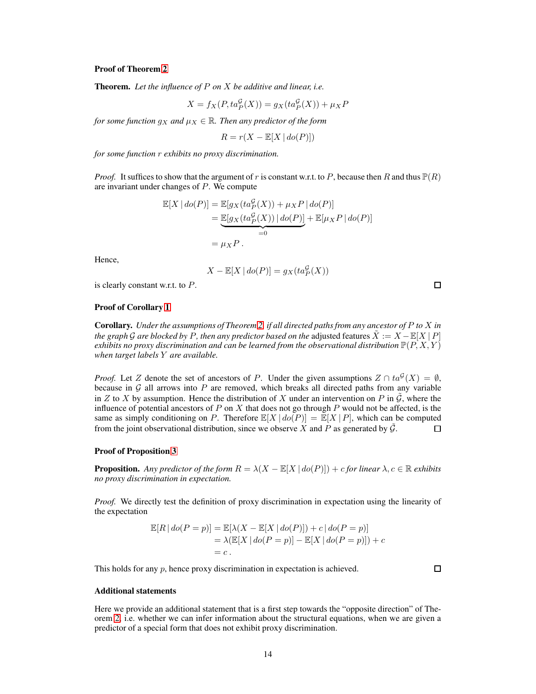#### Proof of Theorem [2](#page-7-0)

Theorem. *Let the influence of* P *on* X *be additive and linear, i.e.*

$$
X = f_X(P, ta_P^{\mathcal{G}}(X)) = g_X(ta_P^{\mathcal{G}}(X)) + \mu_X P
$$

*for some function*  $g_X$  *and*  $\mu_X \in \mathbb{R}$ *. Then any predictor of the form* 

$$
R = r(X - \mathbb{E}[X \mid do(P)])
$$

*for some function* r *exhibits no proxy discrimination.*

*Proof.* It suffices to show that the argument of r is constant w.r.t. to P, because then R and thus  $\mathbb{P}(R)$ are invariant under changes of P. We compute

$$
\mathbb{E}[X \mid do(P)] = \mathbb{E}[g_X(t a_P^{\mathcal{G}}(X)) + \mu_X P \mid do(P)]
$$
  
= 
$$
\underbrace{\mathbb{E}[g_X(t a_P^{\mathcal{G}}(X)) \mid do(P)]}_{=0} + \mathbb{E}[\mu_X P \mid do(P)]
$$
  
= 
$$
\mu_X P.
$$

Hence,

$$
X - \mathbb{E}[X \mid \text{do}(P)] = g_X(\text{ta}_P^{\mathcal{G}}(X))
$$

is clearly constant w.r.t. to P.

#### Proof of Corollary [1](#page-7-1)

Corollary. *Under the assumptions of Theorem [2,](#page-7-0) if all directed paths from any ancestor of* P *to* X *in the graph* G are blocked by P, then any predictor based on the adjusted features  $\ddot{X} := X - \mathbb{E}[X | P]$ *exhibits no proxy discrimination and can be learned from the observational distribution*  $\mathbb{P}(P, X, Y)$ *when target labels* Y *are available.*

*Proof.* Let Z denote the set of ancestors of P. Under the given assumptions  $Z \cap ta^{\mathcal{G}}(X) = \emptyset$ , because in  $G$  all arrows into  $P$  are removed, which breaks all directed paths from any variable in Z to X by assumption. Hence the distribution of X under an intervention on P in  $\tilde{G}$ , where the influence of potential ancestors of P on X that does not go through P would not be affected, is the same as simply conditioning on P. Therefore  $\mathbb{E}[X \mid do(P)] = \mathbb{E}[X \mid P]$ , which can be computed from the joint observational distribution, since we observe X and P as generated by  $\tilde{G}$ .  $\Box$ 

#### Proof of Proposition [3](#page-7-2)

**Proposition.** Any predictor of the form  $R = \lambda(X - \mathbb{E}[X \mid do(P)]) + c$  for linear  $\lambda, c \in \mathbb{R}$  exhibits *no proxy discrimination in expectation.*

*Proof.* We directly test the definition of proxy discrimination in expectation using the linearity of the expectation

$$
\mathbb{E}[R | do(P = p)] = \mathbb{E}[\lambda(X - \mathbb{E}[X | do(P)]) + c | do(P = p)]
$$
  
=  $\lambda(\mathbb{E}[X | do(P = p)] - \mathbb{E}[X | do(P = p)]) + c$   
= c.

This holds for any p, hence proxy discrimination in expectation is achieved.

 $\Box$ 

#### Additional statements

Here we provide an additional statement that is a first step towards the "opposite direction" of Theorem [2,](#page-7-0) i.e. whether we can infer information about the structural equations, when we are given a predictor of a special form that does not exhibit proxy discrimination.

 $\Box$